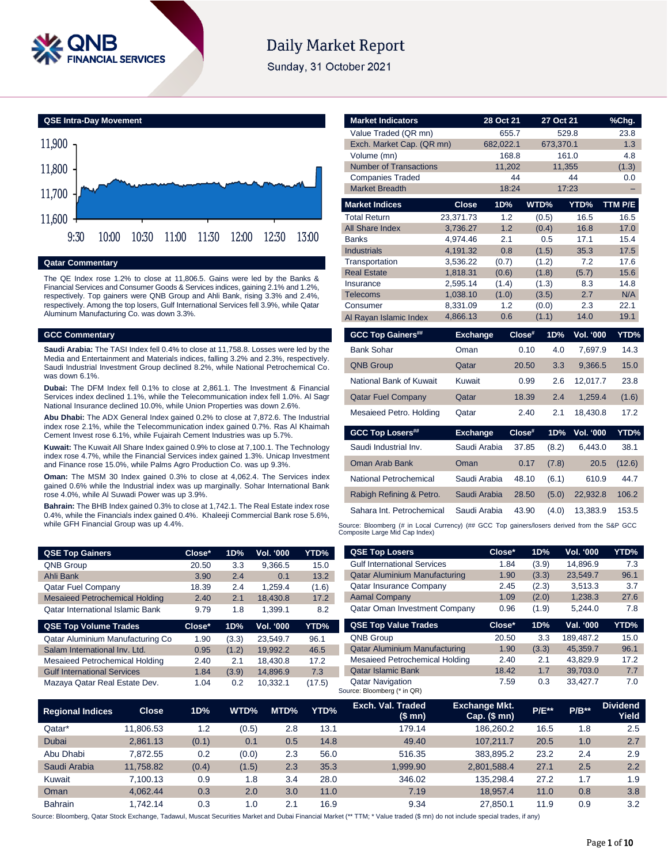

# **Daily Market Report**

Sunday, 31 October 2021

**QSE Intra-Day Movement**



### **Qatar Commentary**

The QE Index rose 1.2% to close at 11,806.5. Gains were led by the Banks & Financial Services and Consumer Goods & Services indices, gaining 2.1% and 1.2%, respectively. Top gainers were QNB Group and Ahli Bank, rising 3.3% and 2.4%, respectively. Among the top losers, Gulf International Services fell 3.9%, while Qatar Aluminum Manufacturing Co. was down 3.3%.

#### **GCC Commentary**

**Saudi Arabia:** The TASI Index fell 0.4% to close at 11,758.8. Losses were led by the Media and Entertainment and Materials indices, falling 3.2% and 2.3%, respectively. Saudi Industrial Investment Group declined 8.2%, while National Petrochemical Co. was down 6.1%.

**Dubai:** The DFM Index fell 0.1% to close at 2,861.1. The Investment & Financial Services index declined 1.1%, while the Telecommunication index fell 1.0%. Al Sagr National Insurance declined 10.0%, while Union Properties was down 2.6%.

**Abu Dhabi:** The ADX General Index gained 0.2% to close at 7,872.6. The Industrial index rose 2.1%, while the Telecommunication index gained 0.7%. Ras Al Khaimah Cement Invest rose 6.1%, while Fujairah Cement Industries was up 5.7%.

**Kuwait:** The Kuwait All Share Index gained 0.9% to close at 7,100.1. The Technology index rose 4.7%, while the Financial Services index gained 1.3%. Unicap Investment and Finance rose 15.0%, while Palms Agro Production Co. was up 9.3%.

**Oman:** The MSM 30 Index gained 0.3% to close at 4,062.4. The Services index gained 0.6% while the Industrial index was up marginally. Sohar International Bank rose 4.0%, while Al Suwadi Power was up 3.9%.

**Bahrain:** The BHB Index gained 0.3% to close at 1,742.1. The Real Estate index rose 0.4%, while the Financials index gained 0.4%. Khaleeji Commercial Bank rose 5.6%, while GFH Financial Group was up 4.4%.

| <b>QSE Top Gainers</b>                  | Close* | 1D% | <b>Vol. '000</b> | YTD%  |
|-----------------------------------------|--------|-----|------------------|-------|
| <b>QNB Group</b>                        | 20.50  | 3.3 | 9.366.5          | 15.0  |
| Ahli Bank                               | 3.90   | 2.4 | 0.1              | 13.2  |
| <b>Qatar Fuel Company</b>               | 18.39  | 2.4 | 1.259.4          | (1.6) |
| <b>Mesaieed Petrochemical Holding</b>   | 2.40   | 2.1 | 18.430.8         | 17.2  |
| <b>Qatar International Islamic Bank</b> | 9.79   | 1.8 | 1.399.1          | 8.2   |

| <b>QSE Top Volume Trades</b>       | Close* | 1D%   | <b>Vol. '000</b> | YTD%   |
|------------------------------------|--------|-------|------------------|--------|
| Qatar Aluminium Manufacturing Co   | 1.90   | (3.3) | 23,549.7         | 96.1   |
| Salam International Inv. Ltd.      | 0.95   | (1.2) | 19.992.2         | 46.5   |
| Mesaieed Petrochemical Holding     | 2.40   | 2.1   | 18.430.8         | 17.2   |
| <b>Gulf International Services</b> | 1.84   | (3.9) | 14,896.9         | 7.3    |
| Mazaya Qatar Real Estate Dev.      | 1.04   | 0.2   | 10.332.1         | (17.5) |

| <b>Market Indicators</b>                                                                    |                      | 28 Oct 21      |        | 27 Oct 21      |                  | %Chg.        |
|---------------------------------------------------------------------------------------------|----------------------|----------------|--------|----------------|------------------|--------------|
| Value Traded (QR mn)                                                                        |                      | 655.7          |        |                | 529.8            | 23.8         |
| Exch. Market Cap. (QR mn)                                                                   |                      | 682,022.1      |        | 673,370.1      |                  | 1.3          |
| Volume (mn)                                                                                 |                      | 168.8          |        |                | 161.0            | 4.8          |
| <b>Number of Transactions</b>                                                               |                      | 11,202         |        | 11,355         |                  | (1.3)        |
| <b>Companies Traded</b>                                                                     |                      | 44             |        |                | 44               | 0.0          |
| <b>Market Breadth</b>                                                                       |                      | 18:24          |        | 17:23          |                  |              |
| <b>Market Indices</b>                                                                       | <b>Close</b>         | 1D%            | WTD%   |                | YTD%             | TTM P/E      |
| <b>Total Return</b>                                                                         | 23,371.73            | 1.2            |        | (0.5)          | 16.5             | 16.5         |
| All Share Index                                                                             | 3,736.27             | 1.2            |        | (0.4)          | 16.8             | 17.0         |
| <b>Banks</b>                                                                                | 4.974.46             | 2.1            |        | 0.5            | 17.1             | 15.4         |
| <b>Industrials</b>                                                                          | 4,191.32             | 0.8            |        | (1.5)          | 35.3             | 17.5         |
| Transportation<br><b>Real Estate</b>                                                        | 3,536.22             | (0.7)          |        | (1.2)          | 7.2              | 17.6         |
| Insurance                                                                                   | 1,818.31<br>2,595.14 | (0.6)<br>(1.4) |        | (1.8)<br>(1.3) | (5.7)<br>8.3     | 15.6<br>14.8 |
| <b>Telecoms</b>                                                                             | 1,038.10             | (1.0)          |        | (3.5)          | 2.7              | N/A          |
| Consumer                                                                                    | 8,331.09             | 1.2            |        | (0.0)          | 2.3              | 22.1         |
| Al Rayan Islamic Index                                                                      | 4,866.13             | 0.6            |        | (1.1)          | 14.0             | 19.1         |
| <b>GCC Top Gainers##</b>                                                                    | <b>Exchange</b>      |                | Close# | 1D%            | <b>Vol. '000</b> | YTD%         |
| <b>Bank Sohar</b>                                                                           | Oman                 |                | 0.10   | 4.0            | 7,697.9          | 14.3         |
| <b>QNB Group</b>                                                                            | Qatar                |                | 20.50  | 3.3            | 9,366.5          | 15.0         |
| National Bank of Kuwait                                                                     | Kuwait               |                | 0.99   | 2.6            | 12,017.7         | 23.8         |
| <b>Qatar Fuel Company</b>                                                                   | Qatar                |                | 18.39  | 2.4            | 1,259.4          | (1.6)        |
| Mesaieed Petro. Holding                                                                     | Qatar                |                | 2.40   | 2.1            | 18,430.8         | 17.2         |
| <b>GCC Top Losers##</b>                                                                     | <b>Exchange</b>      |                | Close# | 1D%            | <b>Vol. '000</b> | YTD%         |
| Saudi Industrial Inv.                                                                       | Saudi Arabia         |                | 37.85  | (8.2)          | 6,443.0          | 38.1         |
| Oman Arab Bank                                                                              | Oman                 |                | 0.17   | (7.8)          | 20.5             | (12.6)       |
| National Petrochemical                                                                      | Saudi Arabia         |                | 48.10  | (6.1)          | 610.9            | 44.7         |
| Rabigh Refining & Petro.                                                                    | Saudi Arabia         |                | 28.50  | (5.0)          | 22,932.8         | 106.2        |
| Sahara Int. Petrochemical                                                                   | Saudi Arabia         |                | 43.90  | (4.0)          | 13.383.9         | 153.5        |
| Source: Bloomberg (# in Local Currency) (## GCC Top gainers/losers derived from the S&P GCC |                      |                |        |                |                  |              |

Composite Large Mid Cap Index)

| <b>QSE Top Losers</b>                | Close* | 1D%   | <b>Vol. '000</b> | YTD% |
|--------------------------------------|--------|-------|------------------|------|
| <b>Gulf International Services</b>   | 1.84   | (3.9) | 14,896.9         | 7.3  |
| <b>Qatar Aluminium Manufacturing</b> | 1.90   | (3.3) | 23,549.7         | 96.1 |
| Qatar Insurance Company              | 2.45   | (2.3) | 3,513.3          | 3.7  |
| <b>Aamal Company</b>                 | 1.09   | (2.0) | 1,238.3          | 27.6 |
| <b>Qatar Oman Investment Company</b> | 0.96   | (1.9) | 5.244.0          | 7.8  |
| <b>QSE Top Value Trades</b>          | Close* | 1D%   | Val. '000        | YTD% |
| <b>QNB Group</b>                     | 20.50  | 3.3   | 189,487.2        | 15.0 |
| <b>Qatar Aluminium Manufacturing</b> | 1.90   | (3.3) | 45.359.7         | 96.1 |

| ℅ | YTD%   | Exch. Val. Traded<br>$10 \text{ mm}$                   | <b>Exchange Mkt.</b><br>$C_{nm}$ $\theta$ mul | <b>P/E**</b> | $P/B**$  | <b>Dividend</b><br><b>Mialal</b> |
|---|--------|--------------------------------------------------------|-----------------------------------------------|--------------|----------|----------------------------------|
|   | (17.5) | <b>Qatar Navigation</b><br>Source: Bloomberg (* in QR) | 7.59                                          | 0.3          | 33.427.7 | 7.0                              |
|   | 7.3    | <b>Qatar Islamic Bank</b>                              | 18.42                                         | 1.7          | 39.703.0 | 7.7                              |
|   | 17.2   | Mesaieed Petrochemical Holding                         | 2.40                                          | 2.1          | 43.829.9 | 17.2                             |
|   | 46.5   | <b>Qatar Aluminium Manufacturing</b>                   | 1.90                                          | (3.3)        | 45,359.7 | 96.1                             |

| <b>Regional Indices</b> | <b>Close</b> | 1D%   | WTD%  | MTD% | YTD% | Exch. Val. Traded<br>(\$mn) | <b>Exchange Mkt.</b><br>$Cap.$ (\$ mn) | <b>P/E**</b> | $P/B**$ | <b>Dividend</b><br>Yield |
|-------------------------|--------------|-------|-------|------|------|-----------------------------|----------------------------------------|--------------|---------|--------------------------|
| Qatar*                  | 11.806.53    | 1.2   | (0.5) | 2.8  | 13.1 | 179.14                      | 186.260.2                              | 16.5         | 1.8     | 2.5                      |
| Dubai                   | 2.861.13     | (0.1) | 0.1   | 0.5  | 14.8 | 49.40                       | 107.211.7                              | 20.5         | 1.0     | 2.7                      |
| Abu Dhabi               | 7.872.55     | 0.2   | (0.0) | 2.3  | 56.0 | 516.35                      | 383.895.2                              | 23.2         | 2.4     | 2.9                      |
| Saudi Arabia            | 11.758.82    | (0.4) | (1.5) | 2.3  | 35.3 | 1.999.90                    | 2.801.588.4                            | 27.1         | 2.5     | 2.2                      |
| Kuwait                  | 7.100.13     | 0.9   | 1.8   | 3.4  | 28.0 | 346.02                      | 135.298.4                              | 27.2         | 1.7     | 1.9                      |
| Oman                    | 4.062.44     | 0.3   | 2.0   | 3.0  | 11.0 | 7.19                        | 18.957.4                               | 11.0         | 0.8     | 3.8                      |
| <b>Bahrain</b>          | 1.742.14     | 0.3   | 1.0   | 2.1  | 16.9 | 9.34                        | 27.850.1                               | 11.9         | 0.9     | 3.2                      |

Source: Bloomberg, Qatar Stock Exchange, Tadawul, Muscat Securities Market and Dubai Financial Market (\*\* TTM; \* Value traded (\$ mn) do not include special trades, if any)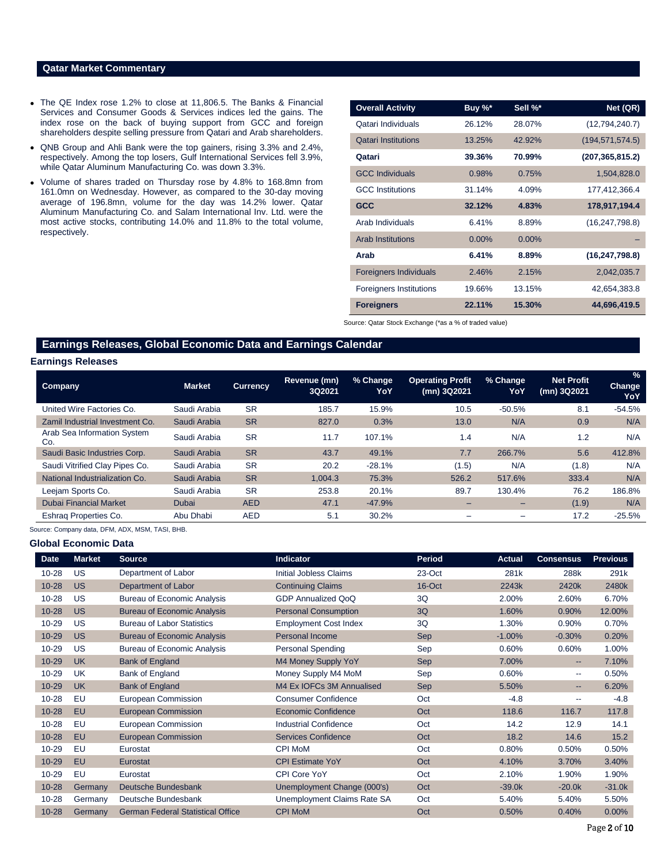# **Qatar Market Commentary**

- The QE Index rose 1.2% to close at 11,806.5. The Banks & Financial Services and Consumer Goods & Services indices led the gains. The index rose on the back of buying support from GCC and foreign shareholders despite selling pressure from Qatari and Arab shareholders.
- QNB Group and Ahli Bank were the top gainers, rising 3.3% and 2.4%, respectively. Among the top losers, Gulf International Services fell 3.9%, while Qatar Aluminum Manufacturing Co. was down 3.3%.
- Volume of shares traded on Thursday rose by 4.8% to 168.8mn from 161.0mn on Wednesday. However, as compared to the 30-day moving average of 196.8mn, volume for the day was 14.2% lower. Qatar Aluminum Manufacturing Co. and Salam International Inv. Ltd. were the most active stocks, contributing 14.0% and 11.8% to the total volume, respectively.

| <b>Overall Activity</b>        | Buy %*   | Sell %* | Net (QR)          |
|--------------------------------|----------|---------|-------------------|
| Qatari Individuals             | 26.12%   | 28.07%  | (12,794,240.7)    |
| <b>Qatari Institutions</b>     | 13.25%   | 42.92%  | (194, 571, 574.5) |
| Qatari                         | 39.36%   | 70.99%  | (207, 365, 815.2) |
| <b>GCC Individuals</b>         | 0.98%    | 0.75%   | 1,504,828.0       |
| <b>GCC</b> Institutions        | 31.14%   | 4.09%   | 177,412,366.4     |
| <b>GCC</b>                     | 32.12%   | 4.83%   | 178,917,194.4     |
| Arab Individuals               | 6.41%    | 8.89%   | (16, 247, 798.8)  |
| <b>Arab Institutions</b>       | $0.00\%$ | 0.00%   |                   |
| Arab                           | 6.41%    | 8.89%   | (16, 247, 798.8)  |
| <b>Foreigners Individuals</b>  | 2.46%    | 2.15%   | 2,042,035.7       |
| <b>Foreigners Institutions</b> | 19.66%   | 13.15%  | 42,654,383.8      |
| <b>Foreigners</b>              | 22.11%   | 15.30%  | 44,696,419.5      |

Source: Qatar Stock Exchange (\*as a % of traded value)

# **Earnings Releases, Global Economic Data and Earnings Calendar**

### **Earnings Releases**

| <b>Company</b>                     | <b>Market</b> | <b>Currency</b> | Revenue (mn)<br>3Q2021 | % Change<br>YoY | <b>Operating Profit</b><br>(mn) 3Q2021 | % Change<br>YoY          | <b>Net Profit</b><br>(mn) 3Q2021 | $\frac{1}{2}$<br><b>Change</b><br>YoY |
|------------------------------------|---------------|-----------------|------------------------|-----------------|----------------------------------------|--------------------------|----------------------------------|---------------------------------------|
| United Wire Factories Co.          | Saudi Arabia  | <b>SR</b>       | 185.7                  | 15.9%           | 10.5                                   | $-50.5%$                 | 8.1                              | $-54.5%$                              |
| Zamil Industrial Investment Co.    | Saudi Arabia  | <b>SR</b>       | 827.0                  | 0.3%            | 13.0                                   | N/A                      | 0.9                              | N/A                                   |
| Arab Sea Information System<br>Co. | Saudi Arabia  | <b>SR</b>       | 11.7                   | 107.1%          | 1.4                                    | N/A                      | 1.2                              | N/A                                   |
| Saudi Basic Industries Corp.       | Saudi Arabia  | <b>SR</b>       | 43.7                   | 49.1%           | 7.7                                    | 266.7%                   | 5.6                              | 412.8%                                |
| Saudi Vitrified Clay Pipes Co.     | Saudi Arabia  | <b>SR</b>       | 20.2                   | $-28.1%$        | (1.5)                                  | N/A                      | (1.8)                            | N/A                                   |
| National Industrialization Co.     | Saudi Arabia  | <b>SR</b>       | 1.004.3                | 75.3%           | 526.2                                  | 517.6%                   | 333.4                            | N/A                                   |
| Leejam Sports Co.                  | Saudi Arabia  | <b>SR</b>       | 253.8                  | 20.1%           | 89.7                                   | 130.4%                   | 76.2                             | 186.8%                                |
| <b>Dubai Financial Market</b>      | Dubai         | <b>AED</b>      | 47.1                   | $-47.9%$        | -                                      | $\overline{\phantom{0}}$ | (1.9)                            | N/A                                   |
| Eshrag Properties Co.              | Abu Dhabi     | <b>AED</b>      | 5.1                    | 30.2%           | $\qquad \qquad$                        | $\qquad \qquad$          | 17.2                             | $-25.5%$                              |

Source: Company data, DFM, ADX, MSM, TASI, BHB.

#### **Global Economic Data**

| <b>Date</b> | <b>Market</b> | <b>Source</b>                            | <b>Indicator</b>              | <b>Period</b> | <b>Actual</b> | <b>Consensus</b> | <b>Previous</b> |
|-------------|---------------|------------------------------------------|-------------------------------|---------------|---------------|------------------|-----------------|
| $10 - 28$   | US            | Department of Labor                      | <b>Initial Jobless Claims</b> | 23-Oct        | 281k          | 288k             | 291k            |
| $10 - 28$   | <b>US</b>     | Department of Labor                      | <b>Continuing Claims</b>      | 16-Oct        | 2243k         | 2420k            | 2480k           |
| $10 - 28$   | US            | <b>Bureau of Economic Analysis</b>       | GDP Annualized QoQ            | 3Q            | 2.00%         | 2.60%            | 6.70%           |
| $10 - 28$   | <b>US</b>     | <b>Bureau of Economic Analysis</b>       | <b>Personal Consumption</b>   | 3Q            | 1.60%         | 0.90%            | 12.00%          |
| 10-29       | US            | <b>Bureau of Labor Statistics</b>        | <b>Employment Cost Index</b>  | 3Q            | 1.30%         | 0.90%            | 0.70%           |
| $10 - 29$   | <b>US</b>     | <b>Bureau of Economic Analysis</b>       | <b>Personal Income</b>        | <b>Sep</b>    | $-1.00%$      | $-0.30%$         | 0.20%           |
| 10-29       | <b>US</b>     | <b>Bureau of Economic Analysis</b>       | <b>Personal Spending</b>      | Sep           | 0.60%         | 0.60%            | 1.00%           |
| $10 - 29$   | <b>UK</b>     | <b>Bank of England</b>                   | M4 Money Supply YoY           | <b>Sep</b>    | 7.00%         | --               | 7.10%           |
| 10-29       | <b>UK</b>     | Bank of England                          | Money Supply M4 MoM           | Sep           | 0.60%         | --               | 0.50%           |
| $10 - 29$   | <b>UK</b>     | <b>Bank of England</b>                   | M4 Ex IOFCs 3M Annualised     | <b>Sep</b>    | 5.50%         | --               | 6.20%           |
| 10-28       | EU            | European Commission                      | <b>Consumer Confidence</b>    | Oct           | $-4.8$        | --               | $-4.8$          |
| $10 - 28$   | <b>EU</b>     | <b>European Commission</b>               | <b>Economic Confidence</b>    | Oct           | 118.6         | 116.7            | 117.8           |
| 10-28       | EU            | European Commission                      | <b>Industrial Confidence</b>  | Oct           | 14.2          | 12.9             | 14.1            |
| $10 - 28$   | EU            | <b>European Commission</b>               | <b>Services Confidence</b>    | Oct           | 18.2          | 14.6             | 15.2            |
| 10-29       | EU            | Eurostat                                 | <b>CPI MoM</b>                | Oct           | 0.80%         | 0.50%            | 0.50%           |
| $10 - 29$   | EU            | Eurostat                                 | <b>CPI Estimate YoY</b>       | Oct           | 4.10%         | 3.70%            | 3.40%           |
| 10-29       | EU            | Eurostat                                 | CPI Core YoY                  | Oct           | 2.10%         | 1.90%            | 1.90%           |
| $10 - 28$   | Germany       | Deutsche Bundesbank                      | Unemployment Change (000's)   | Oct           | $-39.0k$      | $-20.0k$         | $-31.0k$        |
| 10-28       | Germany       | Deutsche Bundesbank                      | Unemployment Claims Rate SA   | Oct           | 5.40%         | 5.40%            | 5.50%           |
| $10 - 28$   | Germany       | <b>German Federal Statistical Office</b> | <b>CPI MoM</b>                | Oct           | 0.50%         | 0.40%            | 0.00%           |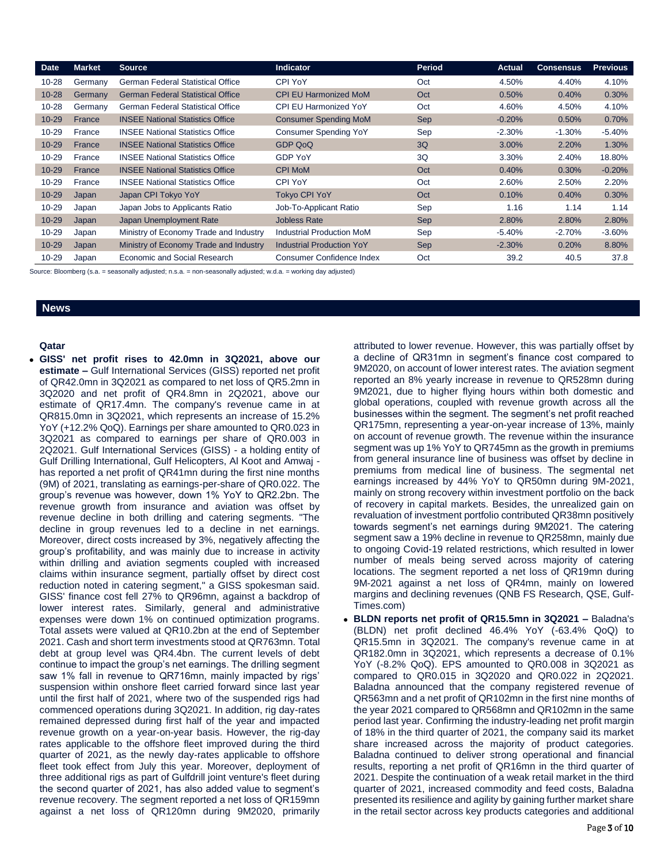| <b>Date</b> | <b>Market</b> | <b>Source</b>                            | <b>Indicator</b>                 | <b>Period</b> | <b>Actual</b> | <b>Consensus</b> | <b>Previous</b> |
|-------------|---------------|------------------------------------------|----------------------------------|---------------|---------------|------------------|-----------------|
| $10 - 28$   | Germany       | <b>German Federal Statistical Office</b> | <b>CPI YoY</b>                   | Oct           | 4.50%         | 4.40%            | 4.10%           |
| $10 - 28$   | Germany       | <b>German Federal Statistical Office</b> | <b>CPI EU Harmonized MoM</b>     | Oct           | 0.50%         | 0.40%            | 0.30%           |
| $10 - 28$   | Germany       | <b>German Federal Statistical Office</b> | <b>CPI EU Harmonized YoY</b>     | Oct           | 4.60%         | 4.50%            | 4.10%           |
| $10 - 29$   | France        | <b>INSEE National Statistics Office</b>  | <b>Consumer Spending MoM</b>     | Sep           | $-0.20%$      | 0.50%            | 0.70%           |
| $10 - 29$   | France        | <b>INSEE National Statistics Office</b>  | <b>Consumer Spending YoY</b>     | Sep           | $-2.30%$      | $-1.30%$         | $-5.40%$        |
| $10 - 29$   | France        | <b>INSEE National Statistics Office</b>  | <b>GDP QoQ</b>                   | 3Q            | 3.00%         | 2.20%            | 1.30%           |
| $10 - 29$   | France        | <b>INSEE National Statistics Office</b>  | <b>GDP YoY</b>                   | 3Q            | 3.30%         | 2.40%            | 18.80%          |
| $10 - 29$   | France        | <b>INSEE National Statistics Office</b>  | <b>CPI MoM</b>                   | Oct           | 0.40%         | 0.30%            | $-0.20%$        |
| $10 - 29$   | France        | <b>INSEE National Statistics Office</b>  | <b>CPI YoY</b>                   | Oct           | 2.60%         | 2.50%            | 2.20%           |
| $10 - 29$   | Japan         | Japan CPI Tokyo YoY                      | <b>Tokvo CPI YoY</b>             | Oct           | 0.10%         | 0.40%            | 0.30%           |
| $10 - 29$   | Japan         | Japan Jobs to Applicants Ratio           | Job-To-Applicant Ratio           | Sep           | 1.16          | 1.14             | 1.14            |
| $10 - 29$   | Japan         | Japan Unemployment Rate                  | <b>Jobless Rate</b>              | Sep           | 2.80%         | 2.80%            | 2.80%           |
| $10 - 29$   | Japan         | Ministry of Economy Trade and Industry   | <b>Industrial Production MoM</b> | Sep           | $-5.40%$      | $-2.70%$         | $-3.60%$        |
| $10 - 29$   | Japan         | Ministry of Economy Trade and Industry   | <b>Industrial Production YoY</b> | <b>Sep</b>    | $-2.30%$      | 0.20%            | 8.80%           |
| 10-29       | Japan         | Economic and Social Research             | Consumer Confidence Index        | Oct           | 39.2          | 40.5             | 37.8            |

Source: Bloomberg (s.a. = seasonally adjusted; n.s.a. = non-seasonally adjusted; w.d.a. = working day adjusted)

#### **News**

#### **Qatar**

 **GISS' net profit rises to 42.0mn in 3Q2021, above our estimate –** Gulf International Services (GISS) reported net profit of QR42.0mn in 3Q2021 as compared to net loss of QR5.2mn in 3Q2020 and net profit of QR4.8mn in 2Q2021, above our estimate of QR17.4mn. The company's revenue came in at QR815.0mn in 3Q2021, which represents an increase of 15.2% YoY (+12.2% QoQ). Earnings per share amounted to QR0.023 in 3Q2021 as compared to earnings per share of QR0.003 in 2Q2021. Gulf International Services (GISS) - a holding entity of Gulf Drilling International, Gulf Helicopters, Al Koot and Amwaj has reported a net profit of QR41mn during the first nine months (9M) of 2021, translating as earnings-per-share of QR0.022. The group's revenue was however, down 1% YoY to QR2.2bn. The revenue growth from insurance and aviation was offset by revenue decline in both drilling and catering segments. "The decline in group revenues led to a decline in net earnings. Moreover, direct costs increased by 3%, negatively affecting the group's profitability, and was mainly due to increase in activity within drilling and aviation segments coupled with increased claims within insurance segment, partially offset by direct cost reduction noted in catering segment," a GISS spokesman said. GISS' finance cost fell 27% to QR96mn, against a backdrop of lower interest rates. Similarly, general and administrative expenses were down 1% on continued optimization programs. Total assets were valued at QR10.2bn at the end of September 2021. Cash and short term investments stood at QR763mn. Total debt at group level was QR4.4bn. The current levels of debt continue to impact the group's net earnings. The drilling segment saw 1% fall in revenue to QR716mn, mainly impacted by rigs' suspension within onshore fleet carried forward since last year until the first half of 2021, where two of the suspended rigs had commenced operations during 3Q2021. In addition, rig day-rates remained depressed during first half of the year and impacted revenue growth on a year-on-year basis. However, the rig-day rates applicable to the offshore fleet improved during the third quarter of 2021, as the newly day-rates applicable to offshore fleet took effect from July this year. Moreover, deployment of three additional rigs as part of Gulfdrill joint venture's fleet during the second quarter of 2021, has also added value to segment's revenue recovery. The segment reported a net loss of QR159mn against a net loss of QR120mn during 9M2020, primarily

attributed to lower revenue. However, this was partially offset by a decline of QR31mn in segment's finance cost compared to 9M2020, on account of lower interest rates. The aviation segment reported an 8% yearly increase in revenue to QR528mn during 9M2021, due to higher flying hours within both domestic and global operations, coupled with revenue growth across all the businesses within the segment. The segment's net profit reached QR175mn, representing a year-on-year increase of 13%, mainly on account of revenue growth. The revenue within the insurance segment was up 1% YoY to QR745mn as the growth in premiums from general insurance line of business was offset by decline in premiums from medical line of business. The segmental net earnings increased by 44% YoY to QR50mn during 9M-2021, mainly on strong recovery within investment portfolio on the back of recovery in capital markets. Besides, the unrealized gain on revaluation of investment portfolio contributed QR38mn positively towards segment's net earnings during 9M2021. The catering segment saw a 19% decline in revenue to QR258mn, mainly due to ongoing Covid-19 related restrictions, which resulted in lower number of meals being served across majority of catering locations. The segment reported a net loss of QR19mn during 9M-2021 against a net loss of QR4mn, mainly on lowered margins and declining revenues (QNB FS Research, QSE, Gulf-Times.com)

 **BLDN reports net profit of QR15.5mn in 3Q2021 –** Baladna's (BLDN) net profit declined 46.4% YoY (-63.4% QoQ) to QR15.5mn in 3Q2021. The company's revenue came in at QR182.0mn in 3Q2021, which represents a decrease of 0.1% YoY (-8.2% QoQ). EPS amounted to QR0.008 in 3Q2021 as compared to QR0.015 in 3Q2020 and QR0.022 in 2Q2021. Baladna announced that the company registered revenue of QR563mn and a net profit of QR102mn in the first nine months of the year 2021 compared to QR568mn and QR102mn in the same period last year. Confirming the industry-leading net profit margin of 18% in the third quarter of 2021, the company said its market share increased across the majority of product categories. Baladna continued to deliver strong operational and financial results, reporting a net profit of QR16mn in the third quarter of 2021. Despite the continuation of a weak retail market in the third quarter of 2021, increased commodity and feed costs, Baladna presented its resilience and agility by gaining further market share in the retail sector across key products categories and additional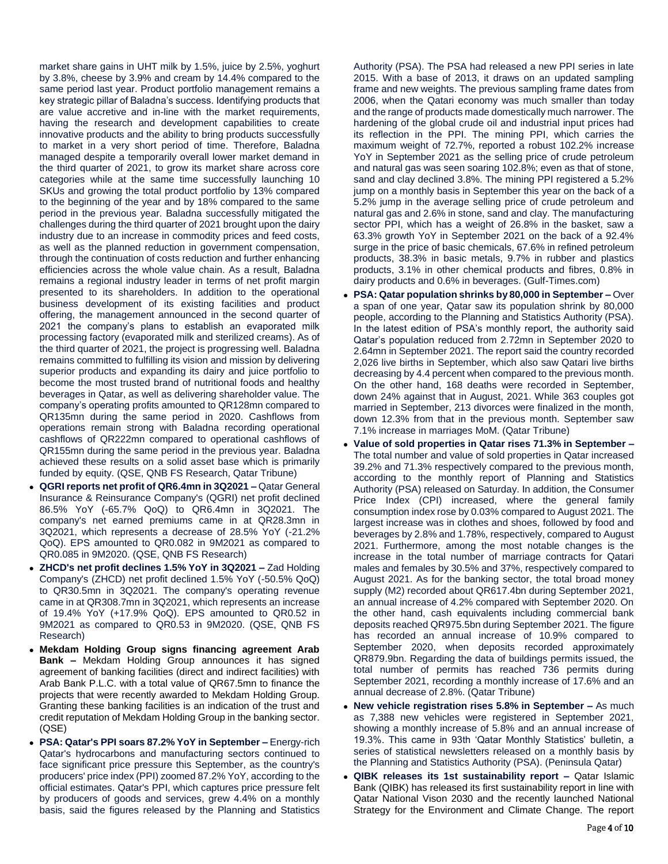market share gains in UHT milk by 1.5%, juice by 2.5%, yoghurt by 3.8%, cheese by 3.9% and cream by 14.4% compared to the same period last year. Product portfolio management remains a key strategic pillar of Baladna's success. Identifying products that are value accretive and in-line with the market requirements, having the research and development capabilities to create innovative products and the ability to bring products successfully to market in a very short period of time. Therefore, Baladna managed despite a temporarily overall lower market demand in the third quarter of 2021, to grow its market share across core categories while at the same time successfully launching 10 SKUs and growing the total product portfolio by 13% compared to the beginning of the year and by 18% compared to the same period in the previous year. Baladna successfully mitigated the challenges during the third quarter of 2021 brought upon the dairy industry due to an increase in commodity prices and feed costs, as well as the planned reduction in government compensation, through the continuation of costs reduction and further enhancing efficiencies across the whole value chain. As a result, Baladna remains a regional industry leader in terms of net profit margin presented to its shareholders. In addition to the operational business development of its existing facilities and product offering, the management announced in the second quarter of 2021 the company's plans to establish an evaporated milk processing factory (evaporated milk and sterilized creams). As of the third quarter of 2021, the project is progressing well. Baladna remains committed to fulfilling its vision and mission by delivering superior products and expanding its dairy and juice portfolio to become the most trusted brand of nutritional foods and healthy beverages in Qatar, as well as delivering shareholder value. The company's operating profits amounted to QR128mn compared to QR135mn during the same period in 2020. Cashflows from operations remain strong with Baladna recording operational cashflows of QR222mn compared to operational cashflows of QR155mn during the same period in the previous year. Baladna achieved these results on a solid asset base which is primarily funded by equity. (QSE, QNB FS Research, Qatar Tribune)

- **QGRI reports net profit of QR6.4mn in 3Q2021 –** Qatar General Insurance & Reinsurance Company's (QGRI) net profit declined 86.5% YoY (-65.7% QoQ) to QR6.4mn in 3Q2021. The company's net earned premiums came in at QR28.3mn in 3Q2021, which represents a decrease of 28.5% YoY (-21.2% QoQ). EPS amounted to QR0.082 in 9M2021 as compared to QR0.085 in 9M2020. (QSE, QNB FS Research)
- **ZHCD's net profit declines 1.5% YoY in 3Q2021 –** Zad Holding Company's (ZHCD) net profit declined 1.5% YoY (-50.5% QoQ) to QR30.5mn in 3Q2021. The company's operating revenue came in at QR308.7mn in 3Q2021, which represents an increase of 19.4% YoY (+17.9% QoQ). EPS amounted to QR0.52 in 9M2021 as compared to QR0.53 in 9M2020. (QSE, QNB FS Research)
- **Mekdam Holding Group signs financing agreement Arab Bank –** Mekdam Holding Group announces it has signed agreement of banking facilities (direct and indirect facilities) with Arab Bank P.L.C. with a total value of QR67.5mn to finance the projects that were recently awarded to Mekdam Holding Group. Granting these banking facilities is an indication of the trust and credit reputation of Mekdam Holding Group in the banking sector. (QSE)
- **PSA: Qatar's PPI soars 87.2% YoY in September –** Energy-rich Qatar's hydrocarbons and manufacturing sectors continued to face significant price pressure this September, as the country's producers' price index (PPI) zoomed 87.2% YoY, according to the official estimates. Qatar's PPI, which captures price pressure felt by producers of goods and services, grew 4.4% on a monthly basis, said the figures released by the Planning and Statistics

Authority (PSA). The PSA had released a new PPI series in late 2015. With a base of 2013, it draws on an updated sampling frame and new weights. The previous sampling frame dates from 2006, when the Qatari economy was much smaller than today and the range of products made domestically much narrower. The hardening of the global crude oil and industrial input prices had its reflection in the PPI. The mining PPI, which carries the maximum weight of 72.7%, reported a robust 102.2% increase YoY in September 2021 as the selling price of crude petroleum and natural gas was seen soaring 102.8%; even as that of stone, sand and clay declined 3.8%. The mining PPI registered a 5.2% jump on a monthly basis in September this year on the back of a 5.2% jump in the average selling price of crude petroleum and natural gas and 2.6% in stone, sand and clay. The manufacturing sector PPI, which has a weight of 26.8% in the basket, saw a 63.3% growth YoY in September 2021 on the back of a 92.4% surge in the price of basic chemicals, 67.6% in refined petroleum products, 38.3% in basic metals, 9.7% in rubber and plastics products, 3.1% in other chemical products and fibres, 0.8% in dairy products and 0.6% in beverages. (Gulf-Times.com)

- **PSA: Qatar population shrinks by 80,000 in September –** Over a span of one year, Qatar saw its population shrink by 80,000 people, according to the Planning and Statistics Authority (PSA). In the latest edition of PSA's monthly report, the authority said Qatar's population reduced from 2.72mn in September 2020 to 2.64mn in September 2021. The report said the country recorded 2,026 live births in September, which also saw Qatari live births decreasing by 4.4 percent when compared to the previous month. On the other hand, 168 deaths were recorded in September, down 24% against that in August, 2021. While 363 couples got married in September, 213 divorces were finalized in the month, down 12.3% from that in the previous month. September saw 7.1% increase in marriages MoM. (Qatar Tribune)
- **Value of sold properties in Qatar rises 71.3% in September –** The total number and value of sold properties in Qatar increased 39.2% and 71.3% respectively compared to the previous month, according to the monthly report of Planning and Statistics Authority (PSA) released on Saturday. In addition, the Consumer Price Index (CPI) increased, where the general family consumption index rose by 0.03% compared to August 2021. The largest increase was in clothes and shoes, followed by food and beverages by 2.8% and 1.78%, respectively, compared to August 2021. Furthermore, among the most notable changes is the increase in the total number of marriage contracts for Qatari males and females by 30.5% and 37%, respectively compared to August 2021. As for the banking sector, the total broad money supply (M2) recorded about QR617.4bn during September 2021, an annual increase of 4.2% compared with September 2020. On the other hand, cash equivalents including commercial bank deposits reached QR975.5bn during September 2021. The figure has recorded an annual increase of 10.9% compared to September 2020, when deposits recorded approximately QR879.9bn. Regarding the data of buildings permits issued, the total number of permits has reached 736 permits during September 2021, recording a monthly increase of 17.6% and an annual decrease of 2.8%. (Qatar Tribune)
- **New vehicle registration rises 5.8% in September –** As much as 7,388 new vehicles were registered in September 2021, showing a monthly increase of 5.8% and an annual increase of 19.3%. This came in 93th 'Qatar Monthly Statistics' bulletin, a series of statistical newsletters released on a monthly basis by the Planning and Statistics Authority (PSA). (Peninsula Qatar)
- **QIBK releases its 1st sustainability report –** Qatar Islamic Bank (QIBK) has released its first sustainability report in line with Qatar National Vison 2030 and the recently launched National Strategy for the Environment and Climate Change. The report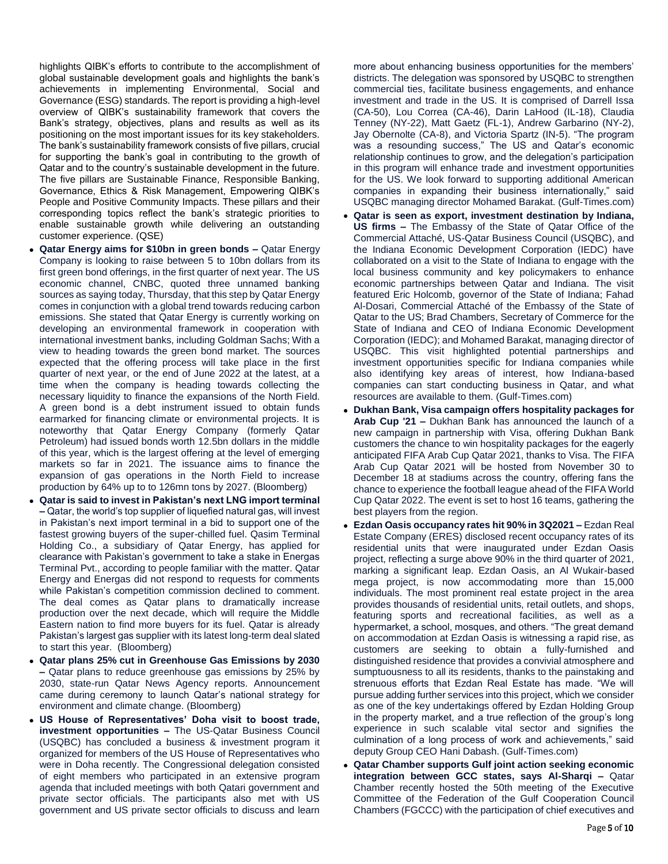highlights QIBK's efforts to contribute to the accomplishment of global sustainable development goals and highlights the bank's achievements in implementing Environmental, Social and Governance (ESG) standards. The report is providing a high-level overview of QIBK's sustainability framework that covers the Bank's strategy, objectives, plans and results as well as its positioning on the most important issues for its key stakeholders. The bank's sustainability framework consists of five pillars, crucial for supporting the bank's goal in contributing to the growth of Qatar and to the country's sustainable development in the future. The five pillars are Sustainable Finance, Responsible Banking, Governance, Ethics & Risk Management, Empowering QIBK's People and Positive Community Impacts. These pillars and their corresponding topics reflect the bank's strategic priorities to enable sustainable growth while delivering an outstanding customer experience. (QSE)

- **Qatar Energy aims for \$10bn in green bonds –** Qatar Energy Company is looking to raise between 5 to 10bn dollars from its first green bond offerings, in the first quarter of next year. The US economic channel, CNBC, quoted three unnamed banking sources as saying today, Thursday, that this step by Qatar Energy comes in conjunction with a global trend towards reducing carbon emissions. She stated that Qatar Energy is currently working on developing an environmental framework in cooperation with international investment banks, including Goldman Sachs; With a view to heading towards the green bond market. The sources expected that the offering process will take place in the first quarter of next year, or the end of June 2022 at the latest, at a time when the company is heading towards collecting the necessary liquidity to finance the expansions of the North Field. A green bond is a debt instrument issued to obtain funds earmarked for financing climate or environmental projects. It is noteworthy that Qatar Energy Company (formerly Qatar Petroleum) had issued bonds worth 12.5bn dollars in the middle of this year, which is the largest offering at the level of emerging markets so far in 2021. The issuance aims to finance the expansion of gas operations in the North Field to increase production by 64% up to to 126mn tons by 2027. (Bloomberg)
- **Qatar is said to invest in Pakistan's next LNG import terminal –** Qatar, the world's top supplier of liquefied natural gas, will invest in Pakistan's next import terminal in a bid to support one of the fastest growing buyers of the super-chilled fuel. Qasim Terminal Holding Co., a subsidiary of Qatar Energy, has applied for clearance with Pakistan's government to take a stake in Energas Terminal Pvt., according to people familiar with the matter. Qatar Energy and Energas did not respond to requests for comments while Pakistan's competition commission declined to comment. The deal comes as Qatar plans to dramatically increase production over the next decade, which will require the Middle Eastern nation to find more buyers for its fuel. Qatar is already Pakistan's largest gas supplier with its latest long-term deal slated to start this year. (Bloomberg)
- **Qatar plans 25% cut in Greenhouse Gas Emissions by 2030 –** Qatar plans to reduce greenhouse gas emissions by 25% by 2030, state-run Qatar News Agency reports. Announcement came during ceremony to launch Qatar's national strategy for environment and climate change. (Bloomberg)
- **US House of Representatives' Doha visit to boost trade, investment opportunities –** The US-Qatar Business Council (USQBC) has concluded a business & investment program it organized for members of the US House of Representatives who were in Doha recently. The Congressional delegation consisted of eight members who participated in an extensive program agenda that included meetings with both Qatari government and private sector officials. The participants also met with US government and US private sector officials to discuss and learn

more about enhancing business opportunities for the members' districts. The delegation was sponsored by USQBC to strengthen commercial ties, facilitate business engagements, and enhance investment and trade in the US. It is comprised of Darrell Issa (CA-50), Lou Correa (CA-46), Darin LaHood (IL-18), Claudia Tenney (NY-22), Matt Gaetz (FL-1), Andrew Garbarino (NY-2), Jay Obernolte (CA-8), and Victoria Spartz (IN-5). "The program was a resounding success," The US and Qatar's economic relationship continues to grow, and the delegation's participation in this program will enhance trade and investment opportunities for the US. We look forward to supporting additional American companies in expanding their business internationally," said USQBC managing director Mohamed Barakat. (Gulf-Times.com)

- **Qatar is seen as export, investment destination by Indiana, US firms –** The Embassy of the State of Qatar Office of the Commercial Attaché, US-Qatar Business Council (USQBC), and the Indiana Economic Development Corporation (IEDC) have collaborated on a visit to the State of Indiana to engage with the local business community and key policymakers to enhance economic partnerships between Qatar and Indiana. The visit featured Eric Holcomb, governor of the State of Indiana; Fahad Al-Dosari, Commercial Attaché of the Embassy of the State of Qatar to the US; Brad Chambers, Secretary of Commerce for the State of Indiana and CEO of Indiana Economic Development Corporation (IEDC); and Mohamed Barakat, managing director of USQBC. This visit highlighted potential partnerships and investment opportunities specific for Indiana companies while also identifying key areas of interest, how Indiana-based companies can start conducting business in Qatar, and what resources are available to them. (Gulf-Times.com)
- **Dukhan Bank, Visa campaign offers hospitality packages for Arab Cup '21 –** Dukhan Bank has announced the launch of a new campaign in partnership with Visa, offering Dukhan Bank customers the chance to win hospitality packages for the eagerly anticipated FIFA Arab Cup Qatar 2021, thanks to Visa. The FIFA Arab Cup Qatar 2021 will be hosted from November 30 to December 18 at stadiums across the country, offering fans the chance to experience the football league ahead of the FIFA World Cup Qatar 2022. The event is set to host 16 teams, gathering the best players from the region.
- **Ezdan Oasis occupancy rates hit 90% in 3Q2021 –** Ezdan Real Estate Company (ERES) disclosed recent occupancy rates of its residential units that were inaugurated under Ezdan Oasis project, reflecting a surge above 90% in the third quarter of 2021, marking a significant leap. Ezdan Oasis, an Al Wukair-based mega project, is now accommodating more than 15,000 individuals. The most prominent real estate project in the area provides thousands of residential units, retail outlets, and shops, featuring sports and recreational facilities, as well as a hypermarket, a school, mosques, and others. "The great demand on accommodation at Ezdan Oasis is witnessing a rapid rise, as customers are seeking to obtain a fully-furnished and distinguished residence that provides a convivial atmosphere and sumptuousness to all its residents, thanks to the painstaking and strenuous efforts that Ezdan Real Estate has made. "We will pursue adding further services into this project, which we consider as one of the key undertakings offered by Ezdan Holding Group in the property market, and a true reflection of the group's long experience in such scalable vital sector and signifies the culmination of a long process of work and achievements," said deputy Group CEO Hani Dabash. (Gulf-Times.com)
- **Qatar Chamber supports Gulf joint action seeking economic integration between GCC states, says Al-Sharqi –** Qatar Chamber recently hosted the 50th meeting of the Executive Committee of the Federation of the Gulf Cooperation Council Chambers (FGCCC) with the participation of chief executives and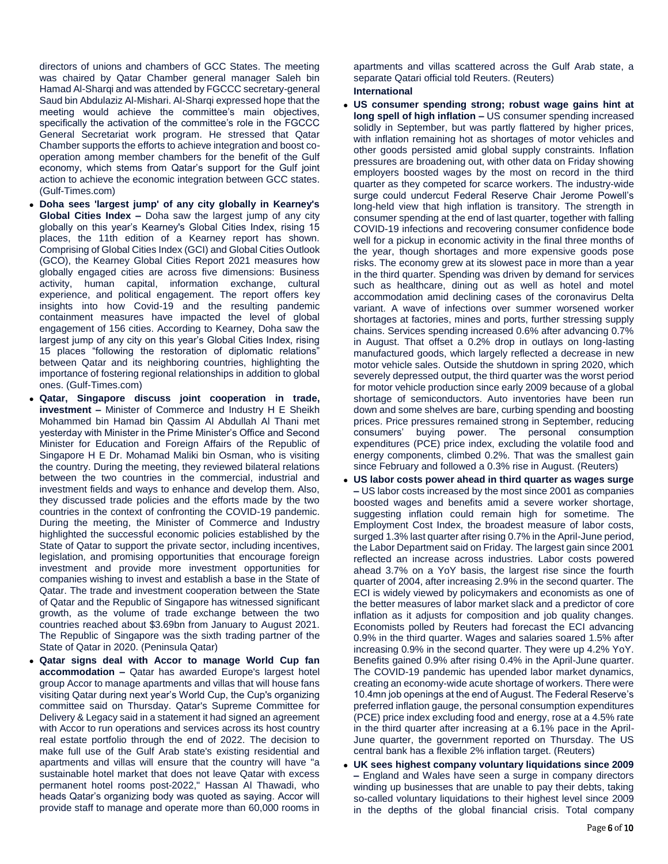directors of unions and chambers of GCC States. The meeting was chaired by Qatar Chamber general manager Saleh bin Hamad Al-Sharqi and was attended by FGCCC secretary-general Saud bin Abdulaziz Al-Mishari. Al-Sharqi expressed hope that the meeting would achieve the committee's main objectives, specifically the activation of the committee's role in the FGCCC General Secretariat work program. He stressed that Qatar Chamber supports the efforts to achieve integration and boost cooperation among member chambers for the benefit of the Gulf economy, which stems from Qatar's support for the Gulf joint action to achieve the economic integration between GCC states. (Gulf-Times.com)

- **Doha sees 'largest jump' of any city globally in Kearney's Global Cities Index –** Doha saw the largest jump of any city globally on this year's Kearney's Global Cities Index, rising 15 places, the 11th edition of a Kearney report has shown. Comprising of Global Cities Index (GCI) and Global Cities Outlook (GCO), the Kearney Global Cities Report 2021 measures how globally engaged cities are across five dimensions: Business activity, human capital, information exchange, cultural experience, and political engagement. The report offers key insights into how Covid-19 and the resulting pandemic containment measures have impacted the level of global engagement of 156 cities. According to Kearney, Doha saw the largest jump of any city on this year's Global Cities Index, rising 15 places "following the restoration of diplomatic relations" between Qatar and its neighboring countries, highlighting the importance of fostering regional relationships in addition to global ones. (Gulf-Times.com)
- **Qatar, Singapore discuss joint cooperation in trade, investment –** Minister of Commerce and Industry H E Sheikh Mohammed bin Hamad bin Qassim Al Abdullah Al Thani met yesterday with Minister in the Prime Minister's Office and Second Minister for Education and Foreign Affairs of the Republic of Singapore H E Dr. Mohamad Maliki bin Osman, who is visiting the country. During the meeting, they reviewed bilateral relations between the two countries in the commercial, industrial and investment fields and ways to enhance and develop them. Also, they discussed trade policies and the efforts made by the two countries in the context of confronting the COVID-19 pandemic. During the meeting, the Minister of Commerce and Industry highlighted the successful economic policies established by the State of Qatar to support the private sector, including incentives, legislation, and promising opportunities that encourage foreign investment and provide more investment opportunities for companies wishing to invest and establish a base in the State of Qatar. The trade and investment cooperation between the State of Qatar and the Republic of Singapore has witnessed significant growth, as the volume of trade exchange between the two countries reached about \$3.69bn from January to August 2021. The Republic of Singapore was the sixth trading partner of the State of Qatar in 2020. (Peninsula Qatar)
- **Qatar signs deal with Accor to manage World Cup fan accommodation –** Qatar has awarded Europe's largest hotel group Accor to manage apartments and villas that will house fans visiting Qatar during next year's World Cup, the Cup's organizing committee said on Thursday. Qatar's Supreme Committee for Delivery & Legacy said in a statement it had signed an agreement with Accor to run operations and services across its host country real estate portfolio through the end of 2022. The decision to make full use of the Gulf Arab state's existing residential and apartments and villas will ensure that the country will have "a sustainable hotel market that does not leave Qatar with excess permanent hotel rooms post-2022," Hassan Al Thawadi, who heads Qatar's organizing body was quoted as saying. Accor will provide staff to manage and operate more than 60,000 rooms in

apartments and villas scattered across the Gulf Arab state, a separate Qatari official told Reuters. (Reuters) **International**

- **US consumer spending strong; robust wage gains hint at long spell of high inflation –** US consumer spending increased solidly in September, but was partly flattered by higher prices, with inflation remaining hot as shortages of motor vehicles and other goods persisted amid global supply constraints. Inflation pressures are broadening out, with other data on Friday showing employers boosted wages by the most on record in the third quarter as they competed for scarce workers. The industry-wide surge could undercut Federal Reserve Chair Jerome Powell's long-held view that high inflation is transitory. The strength in consumer spending at the end of last quarter, together with falling COVID-19 infections and recovering consumer confidence bode well for a pickup in economic activity in the final three months of the year, though shortages and more expensive goods pose risks. The economy grew at its slowest pace in more than a year in the third quarter. Spending was driven by demand for services such as healthcare, dining out as well as hotel and motel accommodation amid declining cases of the coronavirus Delta variant. A wave of infections over summer worsened worker shortages at factories, mines and ports, further stressing supply chains. Services spending increased 0.6% after advancing 0.7% in August. That offset a 0.2% drop in outlays on long-lasting manufactured goods, which largely reflected a decrease in new motor vehicle sales. Outside the shutdown in spring 2020, which severely depressed output, the third quarter was the worst period for motor vehicle production since early 2009 because of a global shortage of semiconductors. Auto inventories have been run down and some shelves are bare, curbing spending and boosting prices. Price pressures remained strong in September, reducing consumers' buying power. The personal consumption expenditures (PCE) price index, excluding the volatile food and energy components, climbed 0.2%. That was the smallest gain since February and followed a 0.3% rise in August. (Reuters)
- **US labor costs power ahead in third quarter as wages surge –** US labor costs increased by the most since 2001 as companies boosted wages and benefits amid a severe worker shortage, suggesting inflation could remain high for sometime. The Employment Cost Index, the broadest measure of labor costs, surged 1.3% last quarter after rising 0.7% in the April-June period, the Labor Department said on Friday. The largest gain since 2001 reflected an increase across industries. Labor costs powered ahead 3.7% on a YoY basis, the largest rise since the fourth quarter of 2004, after increasing 2.9% in the second quarter. The ECI is widely viewed by policymakers and economists as one of the better measures of labor market slack and a predictor of core inflation as it adjusts for composition and job quality changes. Economists polled by Reuters had forecast the ECI advancing 0.9% in the third quarter. Wages and salaries soared 1.5% after increasing 0.9% in the second quarter. They were up 4.2% YoY. Benefits gained 0.9% after rising 0.4% in the April-June quarter. The COVID-19 pandemic has upended labor market dynamics, creating an economy-wide acute shortage of workers. There were 10.4mn job openings at the end of August. The Federal Reserve's preferred inflation gauge, the personal consumption expenditures (PCE) price index excluding food and energy, rose at a 4.5% rate in the third quarter after increasing at a 6.1% pace in the April-June quarter, the government reported on Thursday. The US central bank has a flexible 2% inflation target. (Reuters)
- **UK sees highest company voluntary liquidations since 2009 –** England and Wales have seen a surge in company directors winding up businesses that are unable to pay their debts, taking so-called voluntary liquidations to their highest level since 2009 in the depths of the global financial crisis. Total company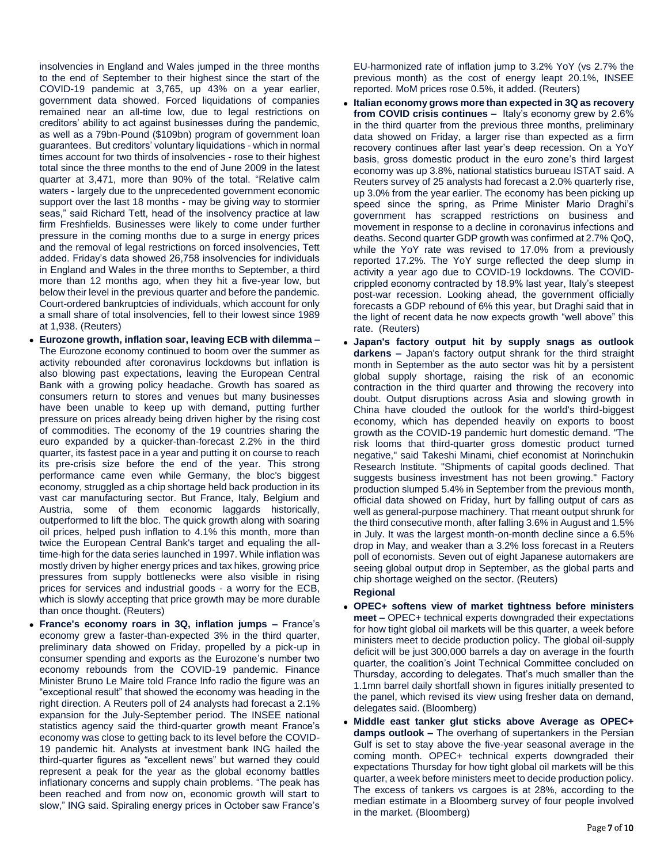insolvencies in England and Wales jumped in the three months to the end of September to their highest since the start of the COVID-19 pandemic at 3,765, up 43% on a year earlier, government data showed. Forced liquidations of companies remained near an all-time low, due to legal restrictions on creditors' ability to act against businesses during the pandemic, as well as a 79bn-Pound (\$109bn) program of government loan guarantees. But creditors' voluntary liquidations - which in normal times account for two thirds of insolvencies - rose to their highest total since the three months to the end of June 2009 in the latest quarter at 3,471, more than 90% of the total. "Relative calm waters - largely due to the unprecedented government economic support over the last 18 months - may be giving way to stormier seas," said Richard Tett, head of the insolvency practice at law firm Freshfields. Businesses were likely to come under further pressure in the coming months due to a surge in energy prices and the removal of legal restrictions on forced insolvencies, Tett added. Friday's data showed 26,758 insolvencies for individuals in England and Wales in the three months to September, a third more than 12 months ago, when they hit a five-year low, but below their level in the previous quarter and before the pandemic. Court-ordered bankruptcies of individuals, which account for only a small share of total insolvencies, fell to their lowest since 1989 at 1,938. (Reuters)

- **Eurozone growth, inflation soar, leaving ECB with dilemma –** The Eurozone economy continued to boom over the summer as activity rebounded after coronavirus lockdowns but inflation is also blowing past expectations, leaving the European Central Bank with a growing policy headache. Growth has soared as consumers return to stores and venues but many businesses have been unable to keep up with demand, putting further pressure on prices already being driven higher by the rising cost of commodities. The economy of the 19 countries sharing the euro expanded by a quicker-than-forecast 2.2% in the third quarter, its fastest pace in a year and putting it on course to reach its pre-crisis size before the end of the year. This strong performance came even while Germany, the bloc's biggest economy, struggled as a chip shortage held back production in its vast car manufacturing sector. But France, Italy, Belgium and Austria, some of them economic laggards historically, outperformed to lift the bloc. The quick growth along with soaring oil prices, helped push inflation to 4.1% this month, more than twice the European Central Bank's target and equaling the alltime-high for the data series launched in 1997. While inflation was mostly driven by higher energy prices and tax hikes, growing price pressures from supply bottlenecks were also visible in rising prices for services and industrial goods - a worry for the ECB, which is slowly accepting that price growth may be more durable than once thought. (Reuters)
- **France's economy roars in 3Q, inflation jumps –** France's economy grew a faster-than-expected 3% in the third quarter, preliminary data showed on Friday, propelled by a pick-up in consumer spending and exports as the Eurozone's number two economy rebounds from the COVID-19 pandemic. Finance Minister Bruno Le Maire told France Info radio the figure was an "exceptional result" that showed the economy was heading in the right direction. A Reuters poll of 24 analysts had forecast a 2.1% expansion for the July-September period. The INSEE national statistics agency said the third-quarter growth meant France's economy was close to getting back to its level before the COVID-19 pandemic hit. Analysts at investment bank ING hailed the third-quarter figures as "excellent news" but warned they could represent a peak for the year as the global economy battles inflationary concerns and supply chain problems. "The peak has been reached and from now on, economic growth will start to slow," ING said. Spiraling energy prices in October saw France's

EU-harmonized rate of inflation jump to 3.2% YoY (vs 2.7% the previous month) as the cost of energy leapt 20.1%, INSEE reported. MoM prices rose 0.5%, it added. (Reuters)

- **Italian economy grows more than expected in 3Q as recovery from COVID crisis continues –** Italy's economy grew by 2.6% in the third quarter from the previous three months, preliminary data showed on Friday, a larger rise than expected as a firm recovery continues after last year's deep recession. On a YoY basis, gross domestic product in the euro zone's third largest economy was up 3.8%, national statistics burueau ISTAT said. A Reuters survey of 25 analysts had forecast a 2.0% quarterly rise, up 3.0% from the year earlier. The economy has been picking up speed since the spring, as Prime Minister Mario Draghi's government has scrapped restrictions on business and movement in response to a decline in coronavirus infections and deaths. Second quarter GDP growth was confirmed at 2.7% QoQ, while the YoY rate was revised to 17.0% from a previously reported 17.2%. The YoY surge reflected the deep slump in activity a year ago due to COVID-19 lockdowns. The COVIDcrippled economy contracted by 18.9% last year, Italy's steepest post-war recession. Looking ahead, the government officially forecasts a GDP rebound of 6% this year, but Draghi said that in the light of recent data he now expects growth "well above" this rate. (Reuters)
- **Japan's factory output hit by supply snags as outlook darkens –** Japan's factory output shrank for the third straight month in September as the auto sector was hit by a persistent global supply shortage, raising the risk of an economic contraction in the third quarter and throwing the recovery into doubt. Output disruptions across Asia and slowing growth in China have clouded the outlook for the world's third-biggest economy, which has depended heavily on exports to boost growth as the COVID-19 pandemic hurt domestic demand. "The risk looms that third-quarter gross domestic product turned negative," said Takeshi Minami, chief economist at Norinchukin Research Institute. "Shipments of capital goods declined. That suggests business investment has not been growing." Factory production slumped 5.4% in September from the previous month, official data showed on Friday, hurt by falling output of cars as well as general-purpose machinery. That meant output shrunk for the third consecutive month, after falling 3.6% in August and 1.5% in July. It was the largest month-on-month decline since a 6.5% drop in May, and weaker than a 3.2% loss forecast in a Reuters poll of economists. Seven out of eight Japanese automakers are seeing global output drop in September, as the global parts and chip shortage weighed on the sector. (Reuters)

#### **Regional**

- **OPEC+ softens view of market tightness before ministers meet –** OPEC+ technical experts downgraded their expectations for how tight global oil markets will be this quarter, a week before ministers meet to decide production policy. The global oil-supply deficit will be just 300,000 barrels a day on average in the fourth quarter, the coalition's Joint Technical Committee concluded on Thursday, according to delegates. That's much smaller than the 1.1mn barrel daily shortfall shown in figures initially presented to the panel, which revised its view using fresher data on demand, delegates said. (Bloomberg)
- **Middle east tanker glut sticks above Average as OPEC+ damps outlook –** The overhang of supertankers in the Persian Gulf is set to stay above the five-year seasonal average in the coming month. OPEC+ technical experts downgraded their expectations Thursday for how tight global oil markets will be this quarter, a week before ministers meet to decide production policy. The excess of tankers vs cargoes is at 28%, according to the median estimate in a Bloomberg survey of four people involved in the market. (Bloomberg)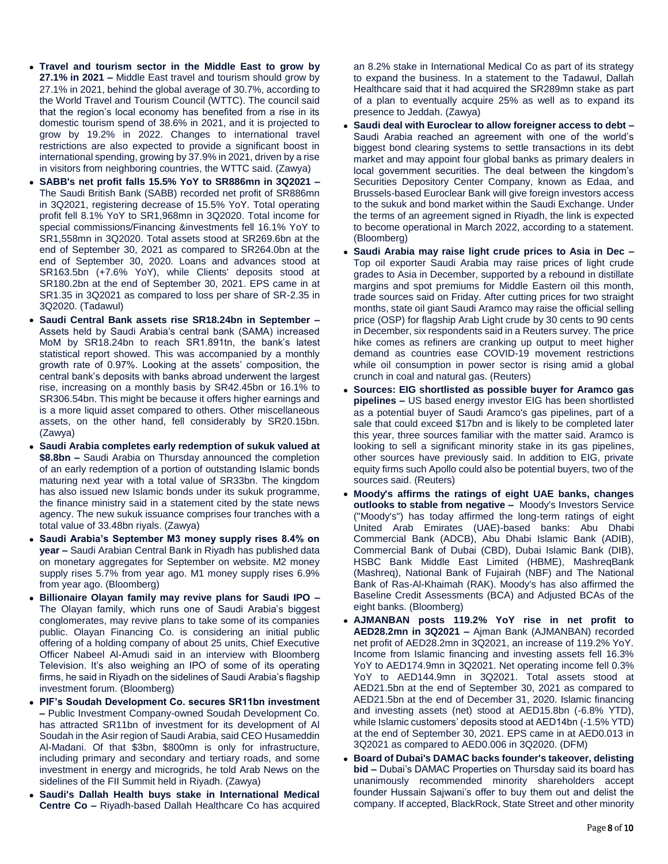- **Travel and tourism sector in the Middle East to grow by 27.1% in 2021 –** Middle East travel and tourism should grow by 27.1% in 2021, behind the global average of 30.7%, according to the World Travel and Tourism Council (WTTC). The council said that the region's local economy has benefited from a rise in its domestic tourism spend of 38.6% in 2021, and it is projected to grow by 19.2% in 2022. Changes to international travel restrictions are also expected to provide a significant boost in international spending, growing by 37.9% in 2021, driven by a rise in visitors from neighboring countries, the WTTC said. (Zawya)
- **SABB's net profit falls 15.5% YoY to SR886mn in 3Q2021 –** The Saudi British Bank (SABB) recorded net profit of SR886mn in 3Q2021, registering decrease of 15.5% YoY. Total operating profit fell 8.1% YoY to SR1,968mn in 3Q2020. Total income for special commissions/Financing &investments fell 16.1% YoY to SR1,558mn in 3Q2020. Total assets stood at SR269.6bn at the end of September 30, 2021 as compared to SR264.0bn at the end of September 30, 2020. Loans and advances stood at SR163.5bn (+7.6% YoY), while Clients' deposits stood at SR180.2bn at the end of September 30, 2021. EPS came in at SR1.35 in 3Q2021 as compared to loss per share of SR-2.35 in 3Q2020. (Tadawul)
- **Saudi Central Bank assets rise SR18.24bn in September –** Assets held by Saudi Arabia's central bank (SAMA) increased MoM by SR18.24bn to reach SR1.891tn, the bank's latest statistical report showed. This was accompanied by a monthly growth rate of 0.97%. Looking at the assets' composition, the central bank's deposits with banks abroad underwent the largest rise, increasing on a monthly basis by SR42.45bn or 16.1% to SR306.54bn. This might be because it offers higher earnings and is a more liquid asset compared to others. Other miscellaneous assets, on the other hand, fell considerably by SR20.15bn. (Zawya)
- **Saudi Arabia completes early redemption of sukuk valued at \$8.8bn –** Saudi Arabia on Thursday announced the completion of an early redemption of a portion of outstanding Islamic bonds maturing next year with a total value of SR33bn. The kingdom has also issued new Islamic bonds under its sukuk programme, the finance ministry said in a statement cited by the state news agency. The new sukuk issuance comprises four tranches with a total value of 33.48bn riyals. (Zawya)
- **Saudi Arabia's September M3 money supply rises 8.4% on year –** Saudi Arabian Central Bank in Riyadh has published data on monetary aggregates for September on website. M2 money supply rises 5.7% from year ago. M1 money supply rises 6.9% from year ago. (Bloomberg)
- **Billionaire Olayan family may revive plans for Saudi IPO –** The Olayan family, which runs one of Saudi Arabia's biggest conglomerates, may revive plans to take some of its companies public. Olayan Financing Co. is considering an initial public offering of a holding company of about 25 units, Chief Executive Officer Nabeel Al-Amudi said in an interview with Bloomberg Television. It's also weighing an IPO of some of its operating firms, he said in Riyadh on the sidelines of Saudi Arabia's flagship investment forum. (Bloomberg)
- **PIF's Soudah Development Co. secures SR11bn investment –** Public Investment Company-owned Soudah Development Co. has attracted SR11bn of investment for its development of Al Soudah in the Asir region of Saudi Arabia, said CEO Husameddin Al-Madani. Of that \$3bn, \$800mn is only for infrastructure, including primary and secondary and tertiary roads, and some investment in energy and microgrids, he told Arab News on the sidelines of the FII Summit held in Riyadh. (Zawya)
- **Saudi's Dallah Health buys stake in International Medical Centre Co –** Riyadh-based Dallah Healthcare Co has acquired

an 8.2% stake in International Medical Co as part of its strategy to expand the business. In a statement to the Tadawul, Dallah Healthcare said that it had acquired the SR289mn stake as part of a plan to eventually acquire 25% as well as to expand its presence to Jeddah. (Zawya)

- **Saudi deal with Euroclear to allow foreigner access to debt –** Saudi Arabia reached an agreement with one of the world's biggest bond clearing systems to settle transactions in its debt market and may appoint four global banks as primary dealers in local government securities. The deal between the kingdom's Securities Depository Center Company, known as Edaa, and Brussels-based Euroclear Bank will give foreign investors access to the sukuk and bond market within the Saudi Exchange. Under the terms of an agreement signed in Riyadh, the link is expected to become operational in March 2022, according to a statement. (Bloomberg)
- **Saudi Arabia may raise light crude prices to Asia in Dec –** Top oil exporter Saudi Arabia may raise prices of light crude grades to Asia in December, supported by a rebound in distillate margins and spot premiums for Middle Eastern oil this month, trade sources said on Friday. After cutting prices for two straight months, state oil giant Saudi Aramco may raise the official selling price (OSP) for flagship Arab Light crude by 30 cents to 90 cents in December, six respondents said in a Reuters survey. The price hike comes as refiners are cranking up output to meet higher demand as countries ease COVID-19 movement restrictions while oil consumption in power sector is rising amid a global crunch in coal and natural gas. (Reuters)
- **Sources: EIG shortlisted as possible buyer for Aramco gas pipelines –** US based energy investor EIG has been shortlisted as a potential buyer of Saudi Aramco's gas pipelines, part of a sale that could exceed \$17bn and is likely to be completed later this year, three sources familiar with the matter said. Aramco is looking to sell a significant minority stake in its gas pipelines, other sources have previously said. In addition to EIG, private equity firms such Apollo could also be potential buyers, two of the sources said. (Reuters)
- **Moody's affirms the ratings of eight UAE banks, changes outlooks to stable from negative –** Moody's Investors Service ("Moody's") has today affirmed the long-term ratings of eight United Arab Emirates (UAE)-based banks: Abu Dhabi Commercial Bank (ADCB), Abu Dhabi Islamic Bank (ADIB), Commercial Bank of Dubai (CBD), Dubai Islamic Bank (DIB), HSBC Bank Middle East Limited (HBME), MashreqBank (Mashreq), National Bank of Fujairah (NBF) and The National Bank of Ras-Al-Khaimah (RAK). Moody's has also affirmed the Baseline Credit Assessments (BCA) and Adjusted BCAs of the eight banks. (Bloomberg)
- **AJMANBAN posts 119.2% YoY rise in net profit to AED28.2mn in 3Q2021 –** Ajman Bank (AJMANBAN) recorded net profit of AED28.2mn in 3Q2021, an increase of 119.2% YoY. Income from Islamic financing and investing assets fell 16.3% YoY to AED174.9mn in 3Q2021. Net operating income fell 0.3% YoY to AED144.9mn in 3Q2021. Total assets stood at AED21.5bn at the end of September 30, 2021 as compared to AED21.5bn at the end of December 31, 2020. Islamic financing and investing assets (net) stood at AED15.8bn (-6.8% YTD), while Islamic customers' deposits stood at AED14bn (-1.5% YTD) at the end of September 30, 2021. EPS came in at AED0.013 in 3Q2021 as compared to AED0.006 in 3Q2020. (DFM)
- **Board of Dubai's DAMAC backs founder's takeover, delisting bid –** Dubai's DAMAC Properties on Thursday said its board has unanimously recommended minority shareholders accept founder Hussain Sajwani's offer to buy them out and delist the company. If accepted, BlackRock, State Street and other minority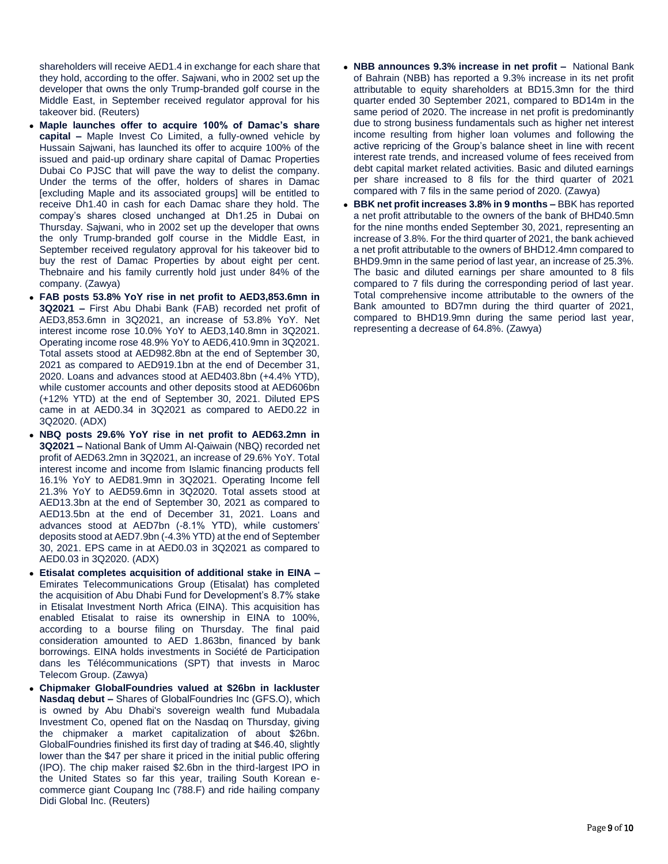shareholders will receive AED1.4 in exchange for each share that they hold, according to the offer. Sajwani, who in 2002 set up the developer that owns the only Trump-branded golf course in the Middle East, in September received regulator approval for his takeover bid. (Reuters)

- **Maple launches offer to acquire 100% of Damac's share capital –** Maple Invest Co Limited, a fully-owned vehicle by Hussain Sajwani, has launched its offer to acquire 100% of the issued and paid-up ordinary share capital of Damac Properties Dubai Co PJSC that will pave the way to delist the company. Under the terms of the offer, holders of shares in Damac [excluding Maple and its associated groups] will be entitled to receive Dh1.40 in cash for each Damac share they hold. The compay's shares closed unchanged at Dh1.25 in Dubai on Thursday. Sajwani, who in 2002 set up the developer that owns the only Trump-branded golf course in the Middle East, in September received regulatory approval for his takeover bid to buy the rest of Damac Properties by about eight per cent. Thebnaire and his family currently hold just under 84% of the company. (Zawya)
- **FAB posts 53.8% YoY rise in net profit to AED3,853.6mn in 3Q2021 –** First Abu Dhabi Bank (FAB) recorded net profit of AED3,853.6mn in 3Q2021, an increase of 53.8% YoY. Net interest income rose 10.0% YoY to AED3,140.8mn in 3Q2021. Operating income rose 48.9% YoY to AED6,410.9mn in 3Q2021. Total assets stood at AED982.8bn at the end of September 30, 2021 as compared to AED919.1bn at the end of December 31, 2020. Loans and advances stood at AED403.8bn (+4.4% YTD), while customer accounts and other deposits stood at AED606bn (+12% YTD) at the end of September 30, 2021. Diluted EPS came in at AED0.34 in 3Q2021 as compared to AED0.22 in 3Q2020. (ADX)
- **NBQ posts 29.6% YoY rise in net profit to AED63.2mn in 3Q2021 –** National Bank of Umm Al-Qaiwain (NBQ) recorded net profit of AED63.2mn in 3Q2021, an increase of 29.6% YoY. Total interest income and income from Islamic financing products fell 16.1% YoY to AED81.9mn in 3Q2021. Operating Income fell 21.3% YoY to AED59.6mn in 3Q2020. Total assets stood at AED13.3bn at the end of September 30, 2021 as compared to AED13.5bn at the end of December 31, 2021. Loans and advances stood at AED7bn (-8.1% YTD), while customers' deposits stood at AED7.9bn (-4.3% YTD) at the end of September 30, 2021. EPS came in at AED0.03 in 3Q2021 as compared to AED0.03 in 3Q2020. (ADX)
- **Etisalat completes acquisition of additional stake in EINA –** Emirates Telecommunications Group (Etisalat) has completed the acquisition of Abu Dhabi Fund for Development's 8.7% stake in Etisalat Investment North Africa (EINA). This acquisition has enabled Etisalat to raise its ownership in EINA to 100%, according to a bourse filing on Thursday. The final paid consideration amounted to AED 1.863bn, financed by bank borrowings. EINA holds investments in Société de Participation dans les Télécommunications (SPT) that invests in Maroc Telecom Group. (Zawya)
- **Chipmaker GlobalFoundries valued at \$26bn in lackluster Nasdaq debut –** Shares of GlobalFoundries Inc (GFS.O), which is owned by Abu Dhabi's sovereign wealth fund Mubadala Investment Co, opened flat on the Nasdaq on Thursday, giving the chipmaker a market capitalization of about \$26bn. GlobalFoundries finished its first day of trading at \$46.40, slightly lower than the \$47 per share it priced in the initial public offering (IPO). The chip maker raised \$2.6bn in the third-largest IPO in the United States so far this year, trailing South Korean ecommerce giant Coupang Inc (788.F) and ride hailing company Didi Global Inc. (Reuters)
- **NBB announces 9.3% increase in net profit –** National Bank of Bahrain (NBB) has reported a 9.3% increase in its net profit attributable to equity shareholders at BD15.3mn for the third quarter ended 30 September 2021, compared to BD14m in the same period of 2020. The increase in net profit is predominantly due to strong business fundamentals such as higher net interest income resulting from higher loan volumes and following the active repricing of the Group's balance sheet in line with recent interest rate trends, and increased volume of fees received from debt capital market related activities. Basic and diluted earnings per share increased to 8 fils for the third quarter of 2021 compared with 7 fils in the same period of 2020. (Zawya)
- **BBK net profit increases 3.8% in 9 months –** BBK has reported a net profit attributable to the owners of the bank of BHD40.5mn for the nine months ended September 30, 2021, representing an increase of 3.8%. For the third quarter of 2021, the bank achieved a net profit attributable to the owners of BHD12.4mn compared to BHD9.9mn in the same period of last year, an increase of 25.3%. The basic and diluted earnings per share amounted to 8 fils compared to 7 fils during the corresponding period of last year. Total comprehensive income attributable to the owners of the Bank amounted to BD7mn during the third quarter of 2021, compared to BHD19.9mn during the same period last year, representing a decrease of 64.8%. (Zawya)